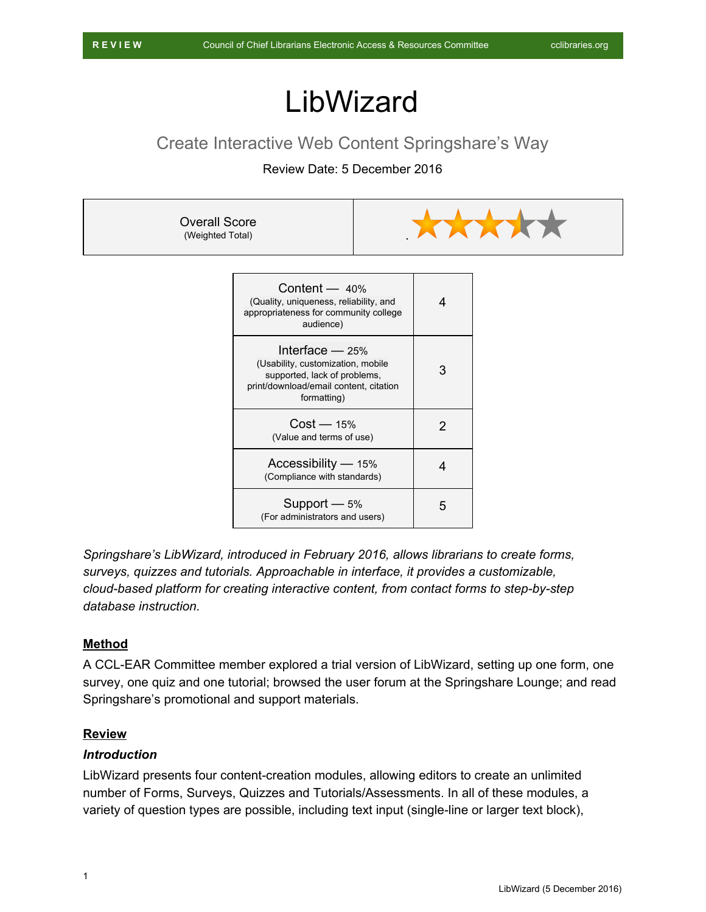# LibWizard

# Create Interactive Web Content Springshare's Way

# Review Date: 5 December 2016



| Content $-40%$<br>(Quality, uniqueness, reliability, and<br>appropriateness for community college<br>audience)                                  | 4 |
|-------------------------------------------------------------------------------------------------------------------------------------------------|---|
| Interface $-$ 25%<br>(Usability, customization, mobile<br>supported, lack of problems,<br>print/download/email content, citation<br>formatting) | З |
| Cost — 15%<br>(Value and terms of use)                                                                                                          | 2 |
| Accessibility — 15%<br>(Compliance with standards)                                                                                              | 4 |
| Support $-5%$<br>(For administrators and users)                                                                                                 | 5 |

*Springshare's LibWizard, introduced in February 2016, allows librarians to create forms, surveys, quizzes and tutorials. Approachable in interface, it provides a customizable, cloud-based platform for creating interactive content, from contact forms to step-by-step database instruction.*

#### **Method**

A CCL-EAR Committee member explored a trial version of LibWizard, setting up one form, one survey, one quiz and one tutorial; browsed the user forum at the Springshare Lounge; and read Springshare's promotional and support materials.

## **Review**

#### *Introduction*

LibWizard presents four content-creation modules, allowing editors to create an unlimited number of Forms, Surveys, Quizzes and Tutorials/Assessments. In all of these modules, a variety of question types are possible, including text input (single-line or larger text block),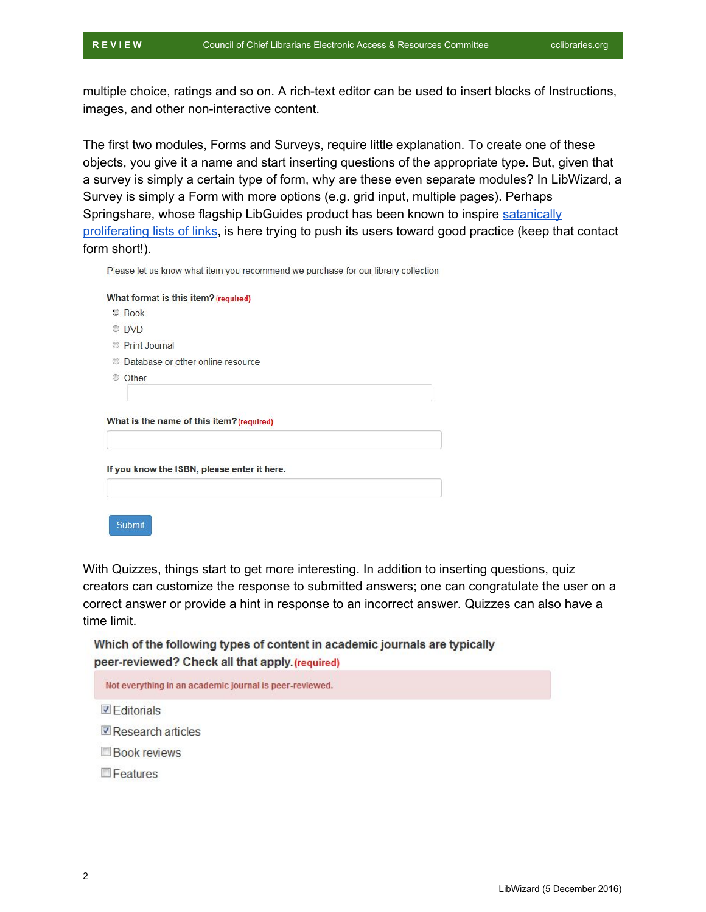multiple choice, ratings and so on. A rich-text editor can be used to insert blocks of Instructions, images, and other non-interactive content.

The first two modules, Forms and Surveys, require little explanation. To create one of these objects, you give it a name and start inserting questions of the appropriate type. But, given that a survey is simply a certain type of form, why are these even separate modules? In LibWizard, a Survey is simply a Form with more options (e.g. grid input, multiple pages). Perhaps Springshare, whose flagship LibGuides product has been known to inspire [satanically](http://guides.temple.edu/general-internet) [proliferating lists of links,](http://guides.temple.edu/general-internet) is here trying to push its users toward good practice (keep that contact form short!).

Please let us know what item you recommend we purchase for our library collection

|                | What format is this item? (required)        |  |
|----------------|---------------------------------------------|--|
|                | <b>Book</b>                                 |  |
|                | <b>DVD</b>                                  |  |
| $\circledcirc$ | <b>Print Journal</b>                        |  |
|                | Database or other online resource           |  |
|                | Other                                       |  |
|                |                                             |  |
|                |                                             |  |
|                | What is the name of this item? (required)   |  |
|                | If you know the ISBN, please enter it here. |  |
|                |                                             |  |
|                |                                             |  |
|                | Submit                                      |  |

With Quizzes, things start to get more interesting. In addition to inserting questions, quiz creators can customize the response to submitted answers; one can congratulate the user on a correct answer or provide a hint in response to an incorrect answer. Quizzes can also have a time limit.

Which of the following types of content in academic journals are typically peer-reviewed? Check all that apply. (required)

| Not everything in an academic journal is peer-reviewed. |
|---------------------------------------------------------|
|---------------------------------------------------------|

- **Z** Editorials
- Research articles
- **Book reviews**
- Features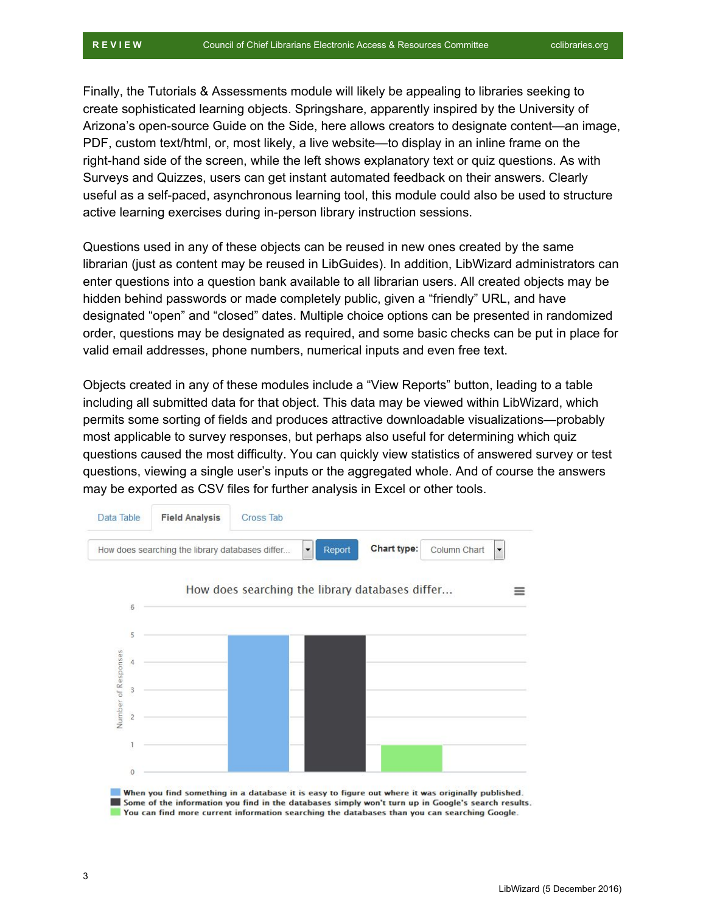Finally, the Tutorials & Assessments module will likely be appealing to libraries seeking to create sophisticated learning objects. Springshare, apparently inspired by the University of Arizona's open-source Guide on the Side, here allows creators to designate content—an image, PDF, custom text/html, or, most likely, a live website—to display in an inline frame on the right-hand side of the screen, while the left shows explanatory text or quiz questions. As with Surveys and Quizzes, users can get instant automated feedback on their answers. Clearly useful as a self-paced, asynchronous learning tool, this module could also be used to structure active learning exercises during in-person library instruction sessions.

Questions used in any of these objects can be reused in new ones created by the same librarian (just as content may be reused in LibGuides). In addition, LibWizard administrators can enter questions into a question bank available to all librarian users. All created objects may be hidden behind passwords or made completely public, given a "friendly" URL, and have designated "open" and "closed" dates. Multiple choice options can be presented in randomized order, questions may be designated as required, and some basic checks can be put in place for valid email addresses, phone numbers, numerical inputs and even free text.

Objects created in any of these modules include a "View Reports" button, leading to a table including all submitted data for that object. This data may be viewed within LibWizard, which permits some sorting of fields and produces attractive downloadable visualizations—probably most applicable to survey responses, but perhaps also useful for determining which quiz questions caused the most difficulty. You can quickly view statistics of answered survey or test questions, viewing a single user's inputs or the aggregated whole. And of course the answers may be exported as CSV files for further analysis in Excel or other tools.

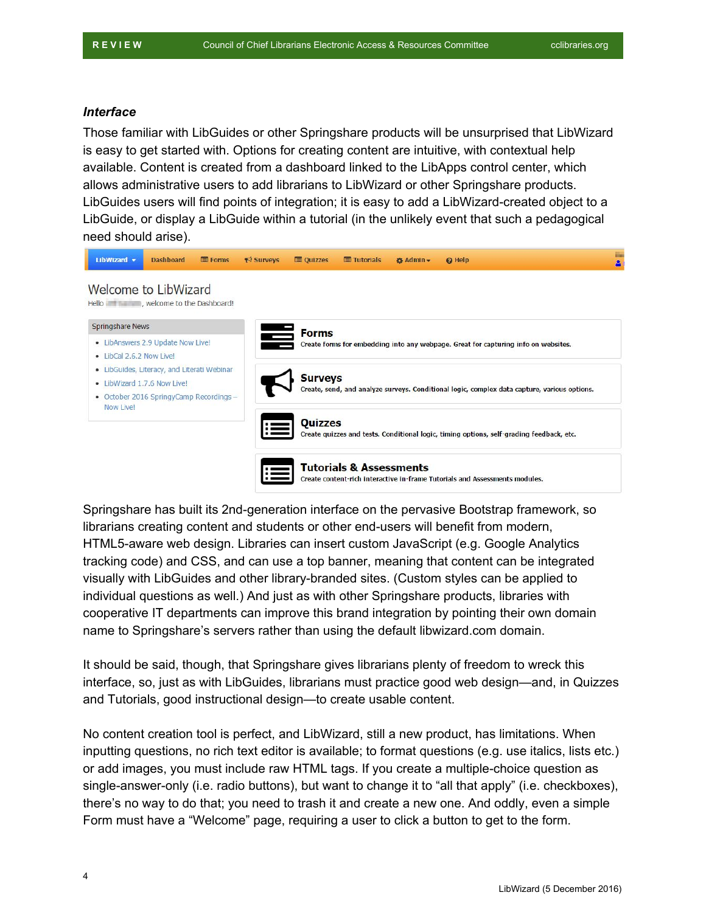#### *Interface*

Those familiar with LibGuides or other Springshare products will be unsurprised that LibWizard is easy to get started with. Options for creating content are intuitive, with contextual help available. Content is created from a dashboard linked to the LibApps control center, which allows administrative users to add librarians to LibWizard or other Springshare products. LibGuides users will find points of integration; it is easy to add a LibWizard-created object to a LibGuide, or display a LibGuide within a tutorial (in the unlikely event that such a pedagogical need should arise).



Springshare has built its 2nd-generation interface on the pervasive Bootstrap framework, so librarians creating content and students or other end-users will benefit from modern, HTML5-aware web design. Libraries can insert custom JavaScript (e.g. Google Analytics tracking code) and CSS, and can use a top banner, meaning that content can be integrated visually with LibGuides and other library-branded sites. (Custom styles can be applied to individual questions as well.) And just as with other Springshare products, libraries with cooperative IT departments can improve this brand integration by pointing their own domain name to Springshare's servers rather than using the default libwizard.com domain.

It should be said, though, that Springshare gives librarians plenty of freedom to wreck this interface, so, just as with LibGuides, librarians must practice good web design—and, in Quizzes and Tutorials, good instructional design—to create usable content.

No content creation tool is perfect, and LibWizard, still a new product, has limitations. When inputting questions, no rich text editor is available; to format questions (e.g. use italics, lists etc.) or add images, you must include raw HTML tags. If you create a multiple-choice question as single-answer-only (i.e. radio buttons), but want to change it to "all that apply" (i.e. checkboxes), there's no way to do that; you need to trash it and create a new one. And oddly, even a simple Form must have a "Welcome" page, requiring a user to click a button to get to the form.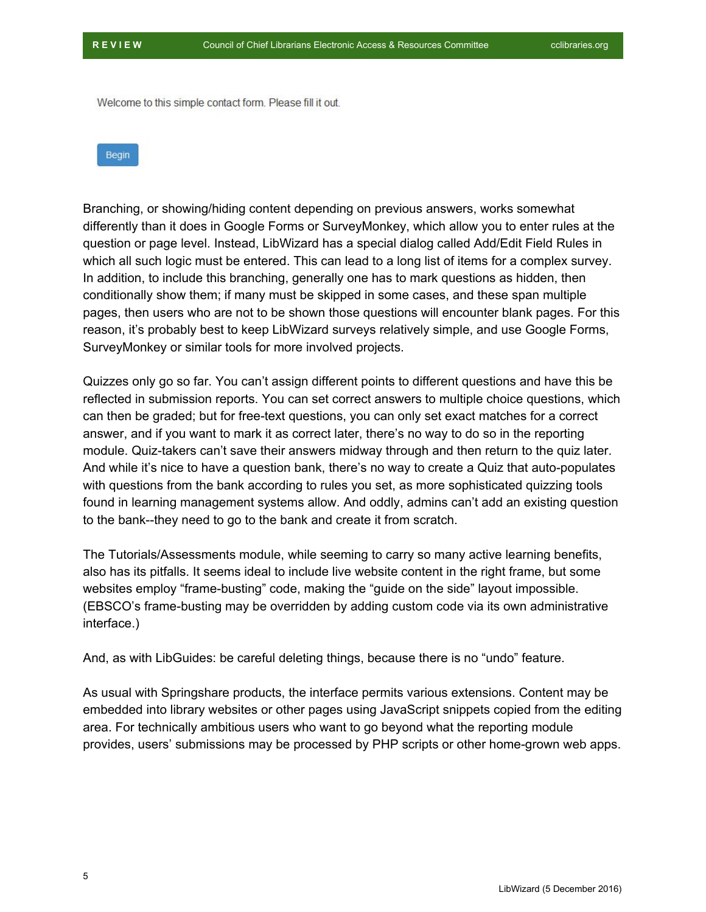Welcome to this simple contact form. Please fill it out.



Branching, or showing/hiding content depending on previous answers, works somewhat differently than it does in Google Forms or SurveyMonkey, which allow you to enter rules at the question or page level. Instead, LibWizard has a special dialog called Add/Edit Field Rules in which all such logic must be entered. This can lead to a long list of items for a complex survey. In addition, to include this branching, generally one has to mark questions as hidden, then conditionally show them; if many must be skipped in some cases, and these span multiple pages, then users who are not to be shown those questions will encounter blank pages. For this reason, it's probably best to keep LibWizard surveys relatively simple, and use Google Forms, SurveyMonkey or similar tools for more involved projects.

Quizzes only go so far. You can't assign different points to different questions and have this be reflected in submission reports. You can set correct answers to multiple choice questions, which can then be graded; but for free-text questions, you can only set exact matches for a correct answer, and if you want to mark it as correct later, there's no way to do so in the reporting module. Quiz-takers can't save their answers midway through and then return to the quiz later. And while it's nice to have a question bank, there's no way to create a Quiz that auto-populates with questions from the bank according to rules you set, as more sophisticated quizzing tools found in learning management systems allow. And oddly, admins can't add an existing question to the bank--they need to go to the bank and create it from scratch.

The Tutorials/Assessments module, while seeming to carry so many active learning benefits, also has its pitfalls. It seems ideal to include live website content in the right frame, but some websites employ "frame-busting" code, making the "guide on the side" layout impossible. (EBSCO's frame-busting may be overridden by adding custom code via its own administrative interface.)

And, as with LibGuides: be careful deleting things, because there is no "undo" feature.

As usual with Springshare products, the interface permits various extensions. Content may be embedded into library websites or other pages using JavaScript snippets copied from the editing area. For technically ambitious users who want to go beyond what the reporting module provides, users' submissions may be processed by PHP scripts or other home-grown web apps.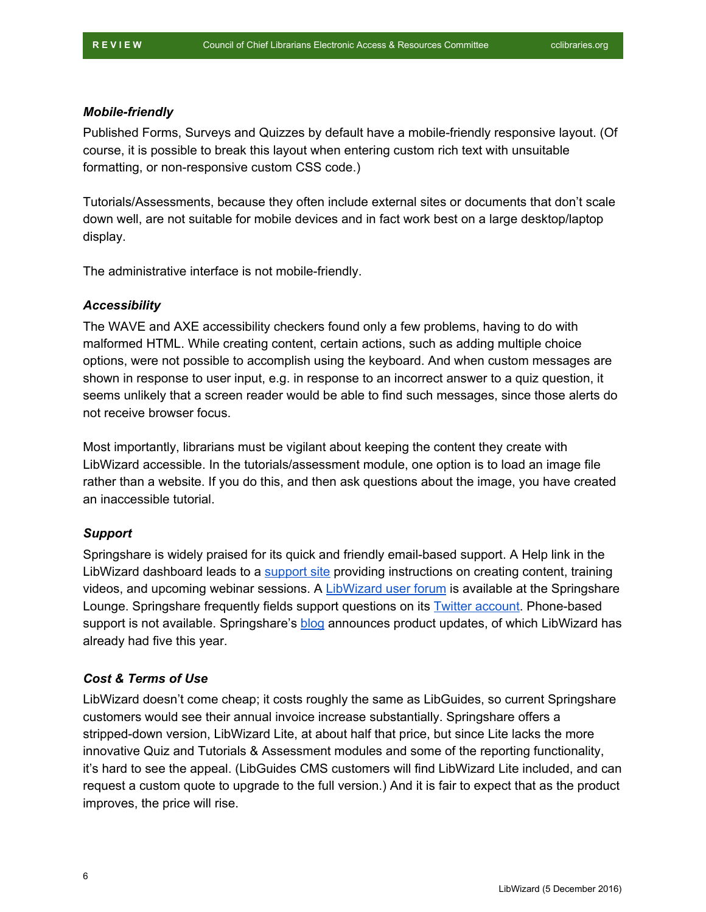#### *Mobile-friendly*

Published Forms, Surveys and Quizzes by default have a mobile-friendly responsive layout. (Of course, it is possible to break this layout when entering custom rich text with unsuitable formatting, or non-responsive custom CSS code.)

Tutorials/Assessments, because they often include external sites or documents that don't scale down well, are not suitable for mobile devices and in fact work best on a large desktop/laptop display.

The administrative interface is not mobile-friendly.

#### *Accessibility*

The WAVE and AXE accessibility checkers found only a few problems, having to do with malformed HTML. While creating content, certain actions, such as adding multiple choice options, were not possible to accomplish using the keyboard. And when custom messages are shown in response to user input, e.g. in response to an incorrect answer to a quiz question, it seems unlikely that a screen reader would be able to find such messages, since those alerts do not receive browser focus.

Most importantly, librarians must be vigilant about keeping the content they create with LibWizard accessible. In the tutorials/assessment module, one option is to load an image file rather than a website. If you do this, and then ask questions about the image, you have created an inaccessible tutorial.

#### *Support*

Springshare is widely praised for its quick and friendly email-based support. A Help link in the LibWizard dashboard leads to a [support](http://support.springshare.com/friendly.php?s=libwizard) site providing instructions on creating content, training videos, and upcoming webinar sessions. A LibWizard [user forum](http://springsharelounge.com/group/libwizard) is available at the Springshare Lounge. Springshare frequently fields support questions on its **Twitter account**. Phone-based support is not available. Springshare's [blog](http://blog.springshare.com/?s=libwizard) announces product updates, of which LibWizard has already had five this year.

#### *Cost & Terms of Use*

LibWizard doesn't come cheap; it costs roughly the same as LibGuides, so current Springshare customers would see their annual invoice increase substantially. Springshare offers a stripped-down version, LibWizard Lite, at about half that price, but since Lite lacks the more innovative Quiz and Tutorials & Assessment modules and some of the reporting functionality, it's hard to see the appeal. (LibGuides CMS customers will find LibWizard Lite included, and can request a custom quote to upgrade to the full version.) And it is fair to expect that as the product improves, the price will rise.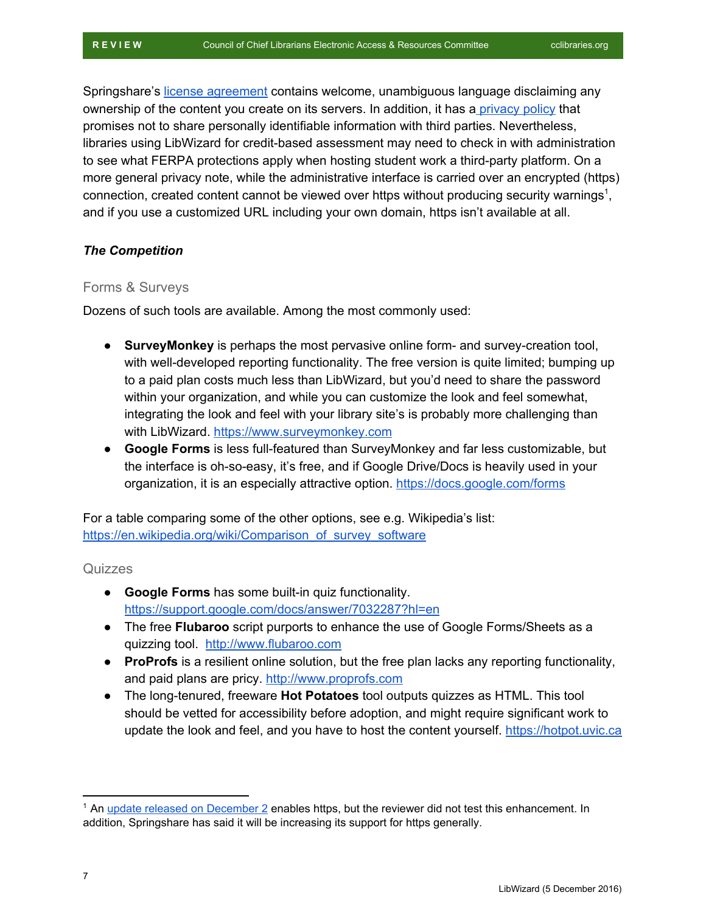Springshare's [license agreement](http://cclibraries.org/providers/restrictions/Springshare-License.pdf) contains welcome, unambiguous language disclaiming any ownership of the content you create on its servers. In addition, it has a [privacy policy](https://www.springshare.com/privacy.html) that promises not to share personally identifiable information with third parties. Nevertheless, libraries using LibWizard for credit-based assessment may need to check in with administration to see what FERPA protections apply when hosting student work a third-party platform. On a more general privacy note, while the administrative interface is carried over an encrypted (https) connection, created content cannot be viewed over https without producing security warnings<sup>1</sup>, and if you use a customized URL including your own domain, https isn't available at all.

#### *The Competition*

#### Forms & Surveys

Dozens of such tools are available. Among the most commonly used:

- **SurveyMonkey** is perhaps the most pervasive online form- and survey-creation tool, with well-developed reporting functionality. The free version is quite limited; bumping up to a paid plan costs much less than LibWizard, but you'd need to share the password within your organization, and while you can customize the look and feel somewhat, integrating the look and feel with your library site's is probably more challenging than with LibWizard. [https://www.surveymonkey.com](https://www.surveymonkey.com/)
- **Google Forms** is less full-featured than SurveyMonkey and far less customizable, but the interface is oh-so-easy, it's free, and if Google Drive/Docs is heavily used in your organization, it is an especially attractive option. <https://docs.google.com/forms>

For a table comparing some of the other options, see e.g. Wikipedia's list: [https://en.wikipedia.org/wiki/Comparison\\_of\\_survey\\_software](https://en.wikipedia.org/wiki/Comparison_of_survey_software)

#### **Quizzes**

- **Google Forms** has some built-in quiz functionality. <https://support.google.com/docs/answer/7032287?hl=en>
- The free **Flubaroo** script purports to enhance the use of Google Forms/Sheets as a quizzing tool. [http://www.flubaroo.com](http://www.flubaroo.com/)
- **ProProfs** is a resilient online solution, but the free plan lacks any reporting functionality, and paid plans are pricy. [http://www.proprofs.com](http://www.proprofs.com/)
- The long-tenured, freeware **Hot Potatoes** tool outputs quizzes as HTML. This tool should be vetted for accessibility before adoption, and might require significant work to update the look and feel, and you have to host the content yourself. [https://hotpot.uvic.ca](https://hotpot.uvic.ca/)

<sup>&</sup>lt;sup>1</sup> An [update released on December 2](http://blog.springshare.com/2016/12/02/libwizard-1-7-7-update-now-live/) enables https, but the reviewer did not test this enhancement. In addition, Springshare has said it will be increasing its support for https generally.